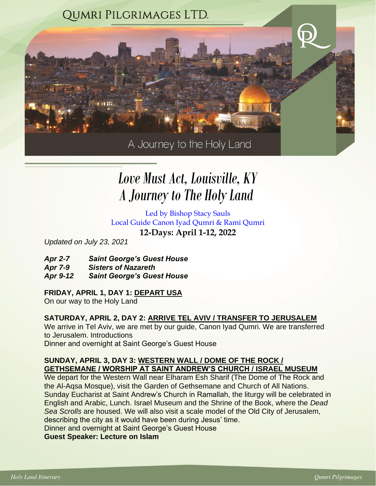

# *A Journey to The Holy Land Love Must Act, Louisville, KY*

Led by Bishop Stacy Sauls Local Guide Canon Iyad Qumri & Rami Qumri **12-Days: April 1-12, 2022**

*Updated on July 23, 2021*

- *Apr 2-7 Saint George's Guest House*
- *Apr 7-9 Sisters of Nazareth*
- *Apr 9-12 Saint George's Guest House*

## **FRIDAY, APRIL 1, DAY 1: DEPART USA**

On our way to the Holy Land

## **SATURDAY, APRIL 2, DAY 2: ARRIVE TEL AVIV / TRANSFER TO JERUSALEM**

We arrive in Tel Aviv, we are met by our guide, Canon Iyad Qumri. We are transferred to Jerusalem. Introductions Dinner and overnight at Saint George's Guest House

## **SUNDAY, APRIL 3, DAY 3: WESTERN WALL / DOME OF THE ROCK / GETHSEMANE / WORSHIP AT SAINT ANDREW'S CHURCH / ISRAEL MUSEUM**

We depart for the Western Wall near Elharam Esh Sharif (The Dome of The Rock and the Al-Aqsa Mosque), visit the Garden of Gethsemane and Church of All Nations. Sunday Eucharist at Saint Andrew's Church in Ramallah, the liturgy will be celebrated in English and Arabic, Lunch. Israel Museum and the Shrine of the Book, where the *Dead Sea Scrolls* are housed. We will also visit a scale model of the Old City of Jerusalem, describing the city as it would have been during Jesus' time.

Dinner and overnight at Saint George's Guest House

**Guest Speaker: Lecture on Islam**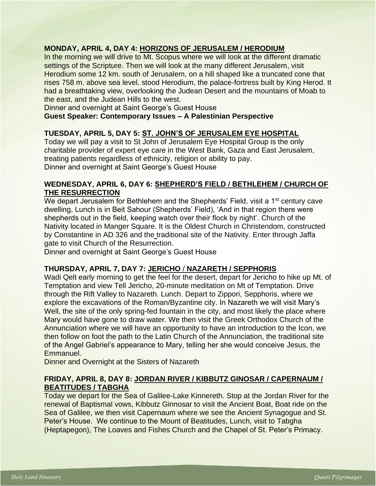## **MONDAY, APRIL 4, DAY 4: HORIZONS OF JERUSALEM / HERODIUM**

In the morning we will drive to Mt. Scopus where we will look at the different dramatic settings of the Scripture. Then we will look at the many different Jerusalem, visit Herodium some 12 km. south of [Jerusalem,](http://www.jewishvirtuallibrary.org/jsource/Peace/jerutoc.html) on a hill shaped like a truncated cone that rises 758 m. above sea level, stood Herodium, the palace-fortress built by [King Herod.](http://www.jewishvirtuallibrary.org/jsource/biography/Herod.html) It had a breathtaking view, overlooking the Judean Desert and the mountains of Moab to the east, and the Judean Hills to the west.

Dinner and overnight at Saint George's Guest House

#### **Guest Speaker: Contemporary Issues – A Palestinian Perspective**

#### **TUESDAY, APRIL 5, DAY 5: ST. JOHN'S OF JERUSALEM EYE HOSPITAL**

Today we will pay a visit to St John of Jerusalem Eye Hospital Group is the only charitable provider of expert eye care in the West Bank, Gaza and East Jerusalem, treating patients regardless of ethnicity, religion or ability to pay. Dinner and overnight at Saint George's Guest House

#### **WEDNESDAY, APRIL 6, DAY 6: SHEPHERD'S FIELD / BETHLEHEM / CHURCH OF THE RESURRECTION**

We depart Jerusalem for Bethlehem and the Shepherds' Field, visit a 1<sup>st</sup> century cave dwelling, Lunch is in Beit Sahour (Shepherds' Field), 'And in that region there were shepherds out in the field, keeping watch over their flock by night'. Church of the Nativity located in Manger Square. It is the Oldest Church in Christendom, constructed by Constantine in AD 326 and the traditional site of the Nativity. Enter through Jaffa gate to visit Church of the Resurrection.

Dinner and overnight at Saint George's Guest House

#### **THURSDAY, APRIL 7, DAY 7: JERICHO** / **NAZARETH / SEPPHORIS**

Wadi Qelt early morning to get the feel for the desert, depart for Jericho to hike up Mt. of Temptation and view Tell Jericho, 20-minute meditation on Mt of Temptation. Drive through the Rift Valley to Nazareth. Lunch. Depart to Zippori, Sepphoris, where we explore the excavations of the Roman/Byzantine city. In Nazareth we will visit Mary's Well, the site of the only spring-fed fountain in the city, and most likely the place where Mary would have gone to draw water. We then visit the Greek Orthodox Church of the Annunciation where we will have an opportunity to have an introduction to the Icon, we then follow on foot the path to the Latin Church of the Annunciation, the traditional site of the Angel Gabriel's appearance to Mary, telling her she would conceive Jesus, the Emmanuel.

Dinner and Overnight at the Sisters of Nazareth

## **FRIDAY, APRIL 8, DAY 8: JORDAN RIVER / KIBBUTZ GINOSAR / CAPERNAUM / BEATITUDES / TABGHA**

Today we depart for the Sea of Galilee-Lake Kinnereth. Stop at the Jordan River for the renewal of Baptismal vows, Kibbutz Ginnosar to visit the Ancient Boat, Boat ride on the Sea of Galilee, we then visit Capernaum where we see the Ancient Synagogue and St. Peter's House. We continue to the Mount of Beatitudes, Lunch, visit to Tabgha (Heptapegon), The Loaves and Fishes Church and the Chapel of St. Peter's Primacy.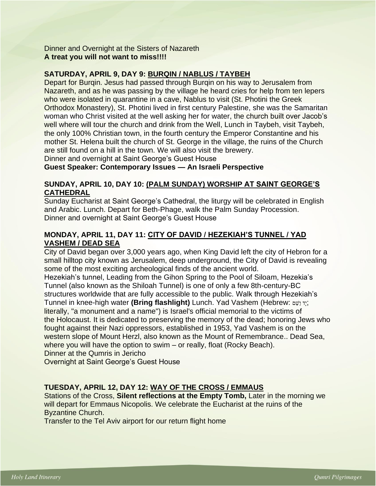Dinner and Overnight at the Sisters of Nazareth **A treat you will not want to miss!!!!** 

#### **SATURDAY, APRIL 9, DAY 9: BURQIN / NABLUS / TAYBEH**

Depart for Burqin. Jesus had passed through Burqin on his way to Jerusalem from Nazareth, and as he was passing by the village he heard cries for help from ten lepers who were isolated in quarantine in a cave, Nablus to visit (St. Photini the Greek Orthodox Monastery), St. Photini lived in first century Palestine, she was the Samaritan woman who Christ visited at the well asking her for water, the church built over Jacob's well where will tour the church and drink from the Well, Lunch in Taybeh, visit Taybeh, the only 100% Christian town, in the fourth century the Emperor Constantine and his mother St. Helena built the church of St. George in the village, the ruins of the Church are still found on a hill in the town. We will also visit the brewery.

Dinner and overnight at Saint George's Guest House

**Guest Speaker: Contemporary Issues — An Israeli Perspective** 

#### **SUNDAY, APRIL 10, DAY 10: (PALM SUNDAY) WORSHIP AT SAINT GEORGE'S CATHEDRAL**

Sunday Eucharist at Saint George's Cathedral, the liturgy will be celebrated in English and Arabic. Lunch. Depart for Beth-Phage, walk the Palm Sunday Procession. Dinner and overnight at Saint George's Guest House

## **MONDAY, APRIL 11, DAY 11: CITY OF DAVID / HEZEKIAH'S TUNNEL / YAD VASHEM / DEAD SEA**

City of David began over 3,000 years ago, when King David left the city of Hebron for a small hilltop city known as Jerusalem, deep underground, the City of David is revealing some of the most exciting archeological finds of the ancient world.

Hezekiah's tunnel, Leading from the Gihon Spring to the Pool of Siloam, Hezekia's Tunnel (also known as the Shiloah Tunnel) is one of only a few 8th-century-BC structures worldwide that are fully accessible to the public. Walk through Hezekiah's Tunnel in knee-high water **(Bring flashlight)** Lunch. Yad Vashem [\(Hebrew:](https://en.wikipedia.org/wiki/Hebrew_language) ם ֵׁשַו דָי ; literally, "a monument and a name") is [Israel's](https://en.wikipedia.org/wiki/Israel) official memorial to the victims of the [Holocaust.](https://en.wikipedia.org/wiki/Holocaust) It is dedicated to preserving the memory of the dead; honoring Jews who fought against their [Nazi](https://en.wikipedia.org/wiki/Nazi) oppressors, established in 1953, Yad Vashem is on the western slope of [Mount Herzl,](https://en.wikipedia.org/wiki/Mount_Herzl) also known as the Mount of Remembrance.. Dead Sea, where you will have the option to swim – or really, float (Rocky Beach).

Dinner at the Qumris in Jericho

Overnight at Saint George's Guest House

## **TUESDAY, APRIL 12, DAY 12: WAY OF THE CROSS / EMMAUS**

Stations of the Cross, **Silent reflections at the Empty Tomb,** Later in the morning we will depart for Emmaus Nicopolis. We celebrate the Eucharist at the ruins of the Byzantine Church.

Transfer to the Tel Aviv airport for our return flight home